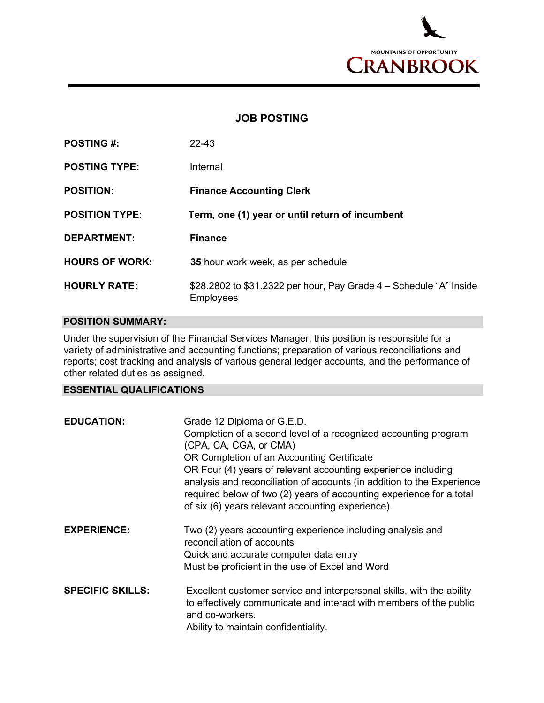

## **JOB POSTING**

| <b>POSTING #:</b>     | 22-43                                                                           |
|-----------------------|---------------------------------------------------------------------------------|
| <b>POSTING TYPE:</b>  | Internal                                                                        |
| <b>POSITION:</b>      | <b>Finance Accounting Clerk</b>                                                 |
| <b>POSITION TYPE:</b> | Term, one (1) year or until return of incumbent                                 |
| <b>DEPARTMENT:</b>    | <b>Finance</b>                                                                  |
| <b>HOURS OF WORK:</b> | 35 hour work week, as per schedule                                              |
| <b>HOURLY RATE:</b>   | \$28.2802 to \$31.2322 per hour, Pay Grade 4 - Schedule "A" Inside<br>Employees |

## **POSITION SUMMARY:**

Under the supervision of the Financial Services Manager, this position is responsible for a variety of administrative and accounting functions; preparation of various reconciliations and reports; cost tracking and analysis of various general ledger accounts, and the performance of other related duties as assigned.

## **ESSENTIAL QUALIFICATIONS**

| <b>EDUCATION:</b>       | Grade 12 Diploma or G.E.D.<br>Completion of a second level of a recognized accounting program<br>(CPA, CA, CGA, or CMA)<br>OR Completion of an Accounting Certificate<br>OR Four (4) years of relevant accounting experience including<br>analysis and reconciliation of accounts (in addition to the Experience<br>required below of two (2) years of accounting experience for a total<br>of six (6) years relevant accounting experience). |
|-------------------------|-----------------------------------------------------------------------------------------------------------------------------------------------------------------------------------------------------------------------------------------------------------------------------------------------------------------------------------------------------------------------------------------------------------------------------------------------|
| <b>EXPERIENCE:</b>      | Two (2) years accounting experience including analysis and<br>reconciliation of accounts<br>Quick and accurate computer data entry<br>Must be proficient in the use of Excel and Word                                                                                                                                                                                                                                                         |
| <b>SPECIFIC SKILLS:</b> | Excellent customer service and interpersonal skills, with the ability<br>to effectively communicate and interact with members of the public<br>and co-workers.<br>Ability to maintain confidentiality.                                                                                                                                                                                                                                        |